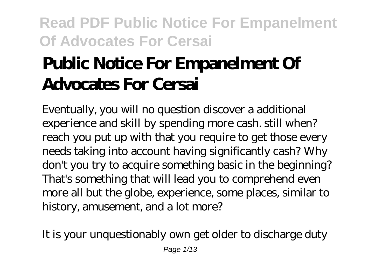# **Public Notice For Empanelment Of Advocates For Cersai**

Eventually, you will no question discover a additional experience and skill by spending more cash. still when? reach you put up with that you require to get those every needs taking into account having significantly cash? Why don't you try to acquire something basic in the beginning? That's something that will lead you to comprehend even more all but the globe, experience, some places, similar to history, amusement, and a lot more?

It is your unquestionably own get older to discharge duty Page  $1/13$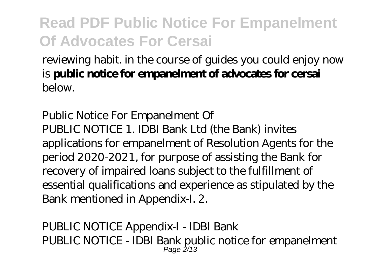reviewing habit. in the course of guides you could enjoy now is **public notice for empanelment of advocates for cersai** below.

Public Notice For Empanelment Of PUBLIC NOTICE 1. IDBI Bank Ltd (the Bank) invites applications for empanelment of Resolution Agents for the period 2020-2021, for purpose of assisting the Bank for recovery of impaired loans subject to the fulfillment of essential qualifications and experience as stipulated by the Bank mentioned in Appendix-I. 2.

PUBLIC NOTICE Appendix-I - IDBI Bank PUBLIC NOTICE - IDBI Bank public notice for empanelment  $P$ age  $2/13$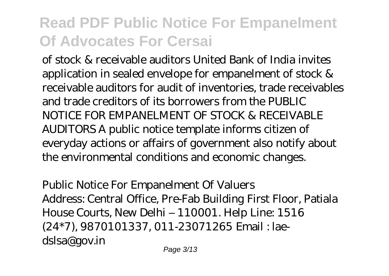of stock & receivable auditors United Bank of India invites application in sealed envelope for empanelment of stock & receivable auditors for audit of inventories, trade receivables and trade creditors of its borrowers from the PUBLIC NOTICE FOR EMPANELMENT OF STOCK & RECEIVABLE AUDITORS A public notice template informs citizen of everyday actions or affairs of government also notify about the environmental conditions and economic changes.

Public Notice For Empanelment Of Valuers Address: Central Office, Pre-Fab Building First Floor, Patiala House Courts, New Delhi – 110001. Help Line: 1516 (24\*7), 9870101337, 011-23071265 Email : laedslsa@gov.in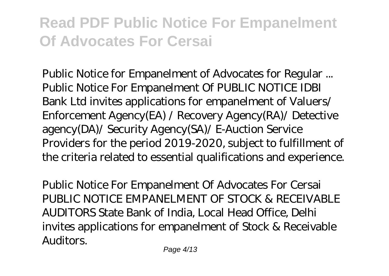Public Notice for Empanelment of Advocates for Regular ... Public Notice For Empanelment Of PUBLIC NOTICE IDBI Bank Ltd invites applications for empanelment of Valuers/ Enforcement Agency(EA) / Recovery Agency(RA)/ Detective agency(DA)/ Security Agency(SA)/ E-Auction Service Providers for the period 2019-2020, subject to fulfillment of the criteria related to essential qualifications and experience.

Public Notice For Empanelment Of Advocates For Cersai PUBLIC NOTICE EMPANELMENT OF STOCK & RECEIVABLE AUDITORS State Bank of India, Local Head Office, Delhi invites applications for empanelment of Stock & Receivable Auditors.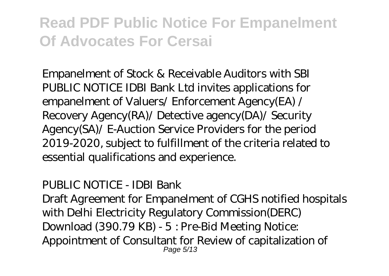Empanelment of Stock & Receivable Auditors with SBI PUBLIC NOTICE IDBI Bank Ltd invites applications for empanelment of Valuers/ Enforcement Agency(EA) / Recovery Agency(RA)/ Detective agency(DA)/ Security Agency(SA)/ E-Auction Service Providers for the period 2019-2020, subject to fulfillment of the criteria related to essential qualifications and experience.

#### PUBLIC NOTICE - IDBI Bank

Draft Agreement for Empanelment of CGHS notified hospitals with Delhi Electricity Regulatory Commission(DERC) Download (390.79 KB) - 5 : Pre-Bid Meeting Notice: Appointment of Consultant for Review of capitalization of Page 5/13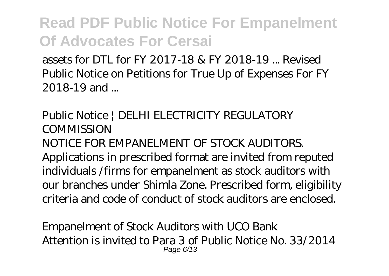assets for DTL for FY 2017-18 & FY 2018-19 ... Revised Public Notice on Petitions for True Up of Expenses For FY 2018-19 and ...

Public Notice | DELHI ELECTRICITY REGULATORY **COMMISSION** NOTICE FOR EMPANELMENT OF STOCK AUDITORS. Applications in prescribed format are invited from reputed individuals /firms for empanelment as stock auditors with our branches under Shimla Zone. Prescribed form, eligibility criteria and code of conduct of stock auditors are enclosed.

Empanelment of Stock Auditors with UCO Bank Attention is invited to Para 3 of Public Notice No. 33/2014 Page 6/13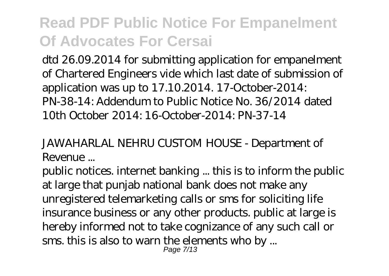dtd 26.09.2014 for submitting application for empanelment of Chartered Engineers vide which last date of submission of application was up to 17.10.2014. 17-October-2014: PN-38-14: Addendum to Public Notice No. 36/2014 dated 10th October 2014: 16-October-2014: PN-37-14

JAWAHARLAL NEHRU CUSTOM HOUSE - Department of Revenue ...

public notices. internet banking ... this is to inform the public at large that punjab national bank does not make any unregistered telemarketing calls or sms for soliciting life insurance business or any other products. public at large is hereby informed not to take cognizance of any such call or sms. this is also to warn the elements who by ... Page 7/13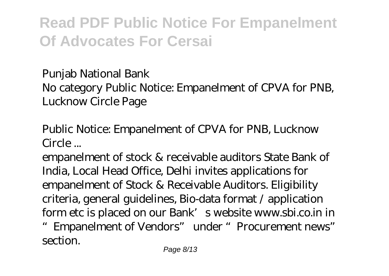Punjab National Bank

No category Public Notice: Empanelment of CPVA for PNB, Lucknow Circle Page

Public Notice: Empanelment of CPVA for PNB, Lucknow Circle ...

empanelment of stock & receivable auditors State Bank of India, Local Head Office, Delhi invites applications for empanelment of Stock & Receivable Auditors. Eligibility criteria, general guidelines, Bio-data format / application form etc is placed on our Bank's website www.sbi.co.in in "Empanelment of Vendors" under "Procurement news" section.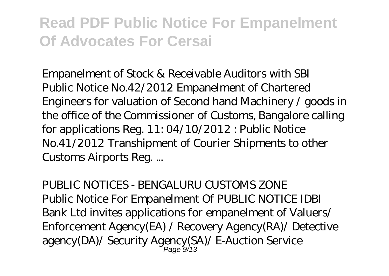Empanelment of Stock & Receivable Auditors with SBI Public Notice No.42/2012 Empanelment of Chartered Engineers for valuation of Second hand Machinery / goods in the office of the Commissioner of Customs, Bangalore calling for applications Reg. 11: 04/10/2012 : Public Notice No.41/2012 Transhipment of Courier Shipments to other Customs Airports Reg. ...

PUBLIC NOTICES - BENGALURU CUSTOMS ZONE Public Notice For Empanelment Of PUBLIC NOTICE IDBI Bank Ltd invites applications for empanelment of Valuers/ Enforcement Agency(EA) / Recovery Agency(RA)/ Detective agency(DA)/ Security Agency(SA)/ E-Auction Service Page 9/13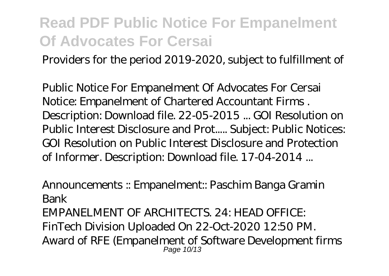Providers for the period 2019-2020, subject to fulfillment of

Public Notice For Empanelment Of Advocates For Cersai Notice: Empanelment of Chartered Accountant Firms . Description: Download file. 22-05-2015 ... GOI Resolution on Public Interest Disclosure and Prot..... Subject: Public Notices: GOI Resolution on Public Interest Disclosure and Protection of Informer. Description: Download file. 17-04-2014 ...

Announcements :: Empanelment:: Paschim Banga Gramin Bank EMPANELMENT OF ARCHITECTS. 24: HEAD OFFICE: FinTech Division Uploaded On 22-Oct-2020 12:50 PM. Award of RFE (Empanelment of Software Development firms Page 10/13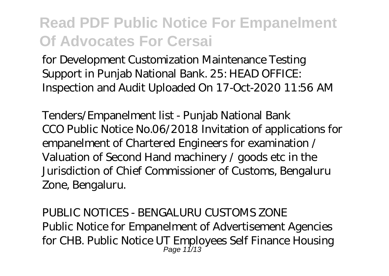for Development Customization Maintenance Testing Support in Punjab National Bank. 25: HEAD OFFICE: Inspection and Audit Uploaded On 17-Oct-2020 11:56 AM

Tenders/Empanelment list - Punjab National Bank CCO Public Notice No.06/2018 Invitation of applications for empanelment of Chartered Engineers for examination / Valuation of Second Hand machinery / goods etc in the Jurisdiction of Chief Commissioner of Customs, Bengaluru Zone, Bengaluru.

PUBLIC NOTICES - BENGALURU CUSTOMS ZONE Public Notice for Empanelment of Advertisement Agencies for CHB. Public Notice UT Employees Self Finance Housing Page 11/13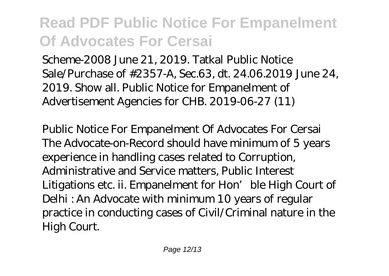Scheme-2008 June 21, 2019. Tatkal Public Notice Sale/Purchase of #2357-A, Sec.63, dt. 24.06.2019 June 24, 2019. Show all. Public Notice for Empanelment of Advertisement Agencies for CHB. 2019-06-27 (11)

Public Notice For Empanelment Of Advocates For Cersai The Advocate-on-Record should have minimum of 5 years experience in handling cases related to Corruption, Administrative and Service matters, Public Interest Litigations etc. ii. Empanelment for Hon' ble High Court of Delhi : An Advocate with minimum 10 years of regular practice in conducting cases of Civil/Criminal nature in the High Court.